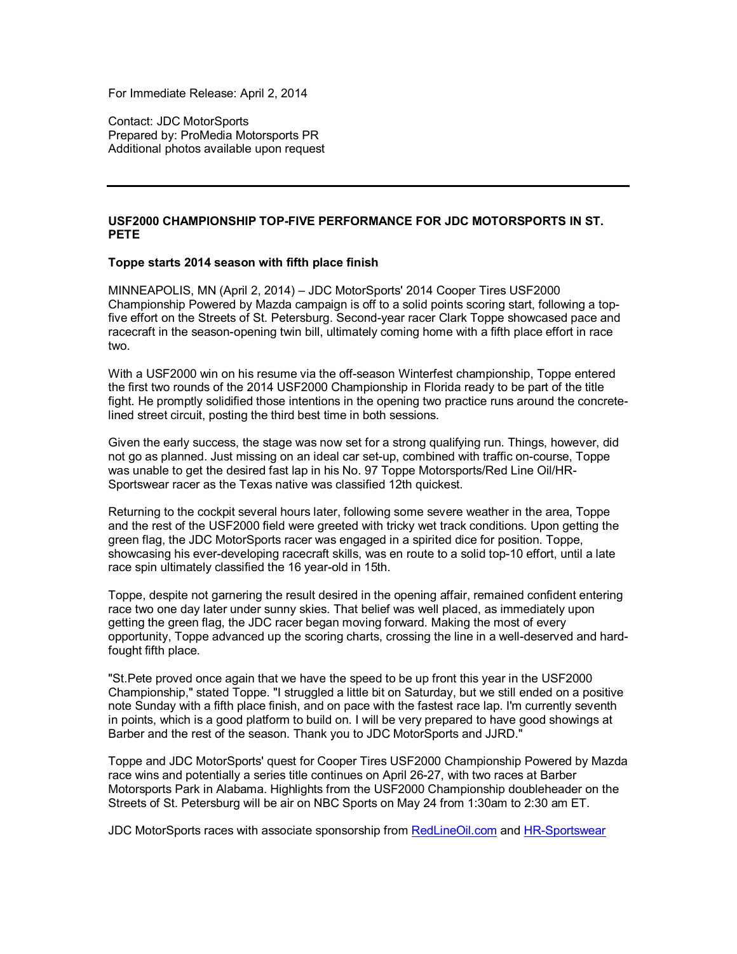For Immediate Release: April 2, 2014

Contact: JDC MotorSports Prepared by: ProMedia Motorsports PR Additional photos available upon request

## **USF2000 CHAMPIONSHIP TOP-FIVE PERFORMANCE FOR JDC MOTORSPORTS IN ST. PETE**

## **Toppe starts 2014 season with fifth place finish**

MINNEAPOLIS, MN (April 2, 2014) – JDC MotorSports' 2014 Cooper Tires USF2000 Championship Powered by Mazda campaign is off to a solid points scoring start, following a topfive effort on the Streets of St. Petersburg. Second-year racer Clark Toppe showcased pace and racecraft in the season-opening twin bill, ultimately coming home with a fifth place effort in race two.

With a USF2000 win on his resume via the off-season Winterfest championship, Toppe entered the first two rounds of the 2014 USF2000 Championship in Florida ready to be part of the title fight. He promptly solidified those intentions in the opening two practice runs around the concretelined street circuit, posting the third best time in both sessions.

Given the early success, the stage was now set for a strong qualifying run. Things, however, did not go as planned. Just missing on an ideal car set-up, combined with traffic on-course, Toppe was unable to get the desired fast lap in his No. 97 Toppe Motorsports/Red Line Oil/HR-Sportswear racer as the Texas native was classified 12th quickest.

Returning to the cockpit several hours later, following some severe weather in the area, Toppe and the rest of the USF2000 field were greeted with tricky wet track conditions. Upon getting the green flag, the JDC MotorSports racer was engaged in a spirited dice for position. Toppe, showcasing his ever-developing racecraft skills, was en route to a solid top-10 effort, until a late race spin ultimately classified the 16 year-old in 15th.

Toppe, despite not garnering the result desired in the opening affair, remained confident entering race two one day later under sunny skies. That belief was well placed, as immediately upon getting the green flag, the JDC racer began moving forward. Making the most of every opportunity, Toppe advanced up the scoring charts, crossing the line in a well-deserved and hardfought fifth place.

"St.Pete proved once again that we have the speed to be up front this year in the USF2000 Championship," stated Toppe. "I struggled a little bit on Saturday, but we still ended on a positive note Sunday with a fifth place finish, and on pace with the fastest race lap. I'm currently seventh in points, which is a good platform to build on. I will be very prepared to have good showings at Barber and the rest of the season. Thank you to JDC MotorSports and JJRD."

Toppe and JDC MotorSports' quest for Cooper Tires USF2000 Championship Powered by Mazda race wins and potentially a series title continues on April 26-27, with two races at Barber Motorsports Park in Alabama. Highlights from the USF2000 Championship doubleheader on the Streets of St. Petersburg will be air on NBC Sports on May 24 from 1:30am to 2:30 am ET.

JDC MotorSports races with associate sponsorship from RedLineOil.com and HR-Sportswear